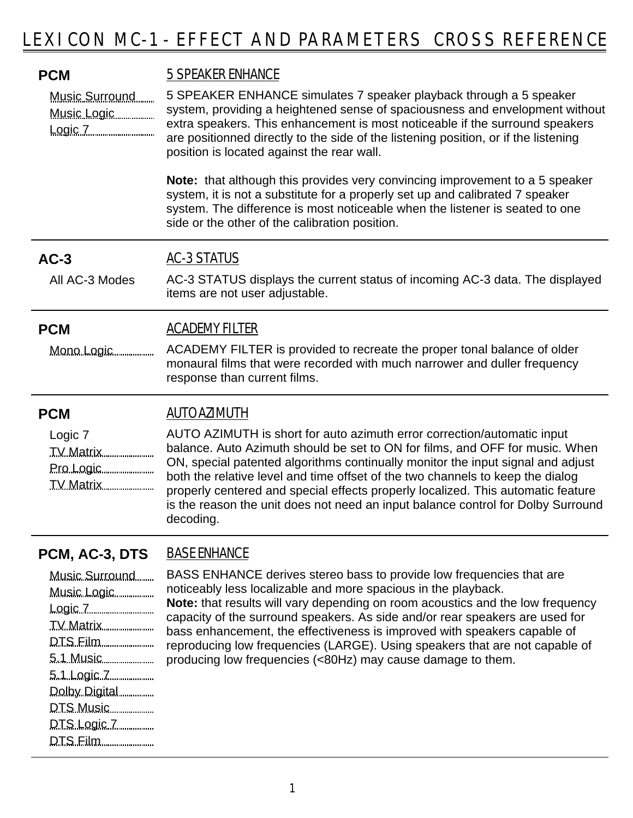| <b>PCM</b><br>Music Surround<br>Music Logic<br>Logic 7 <u></u>                                 | 5 SPEAKER ENHANCE<br>5 SPEAKER ENHANCE simulates 7 speaker playback through a 5 speaker<br>system, providing a heightened sense of spaciousness and envelopment without<br>extra speakers. This enhancement is most noticeable if the surround speakers<br>are positionned directly to the side of the listening position, or if the listening<br>position is located against the rear wall.<br><b>Note:</b> that although this provides very convincing improvement to a 5 speaker<br>system, it is not a substitute for a properly set up and calibrated 7 speaker<br>system. The difference is most noticeable when the listener is seated to one<br>side or the other of the calibration position. |
|------------------------------------------------------------------------------------------------|--------------------------------------------------------------------------------------------------------------------------------------------------------------------------------------------------------------------------------------------------------------------------------------------------------------------------------------------------------------------------------------------------------------------------------------------------------------------------------------------------------------------------------------------------------------------------------------------------------------------------------------------------------------------------------------------------------|
| $AC-3$                                                                                         | <b>AC-3 STATUS</b>                                                                                                                                                                                                                                                                                                                                                                                                                                                                                                                                                                                                                                                                                     |
| All AC-3 Modes                                                                                 | AC-3 STATUS displays the current status of incoming AC-3 data. The displayed<br>items are not user adjustable.                                                                                                                                                                                                                                                                                                                                                                                                                                                                                                                                                                                         |
| <b>PCM</b>                                                                                     | <b>ACADEMY FILTER</b>                                                                                                                                                                                                                                                                                                                                                                                                                                                                                                                                                                                                                                                                                  |
| Mono Logic                                                                                     | ACADEMY FILTER is provided to recreate the proper tonal balance of older<br>monaural films that were recorded with much narrower and duller frequency<br>response than current films.                                                                                                                                                                                                                                                                                                                                                                                                                                                                                                                  |
| <b>PCM</b>                                                                                     | <b>AUTO AZIMUTH</b>                                                                                                                                                                                                                                                                                                                                                                                                                                                                                                                                                                                                                                                                                    |
| Logic 7<br>Pro Logic<br>TV Matrix                                                              | AUTO AZIMUTH is short for auto azimuth error correction/automatic input<br>balance. Auto Azimuth should be set to ON for films, and OFF for music. When<br>ON, special patented algorithms continually monitor the input signal and adjust<br>both the relative level and time offset of the two channels to keep the dialog<br>properly centered and special effects properly localized. This automatic feature<br>is the reason the unit does not need an input balance control for Dolby Surround<br>decoding.                                                                                                                                                                                      |
| PCM, AC-3, DTS                                                                                 | <b>BASE ENHANCE</b>                                                                                                                                                                                                                                                                                                                                                                                                                                                                                                                                                                                                                                                                                    |
| Music Surround<br>Music Logic<br>TV Matrix<br>DTS Film<br>5.1 Logic 7 <u></u><br>Dolby Digital | BASS ENHANCE derives stereo bass to provide low frequencies that are<br>noticeably less localizable and more spacious in the playback.<br>Note: that results will vary depending on room acoustics and the low frequency<br>capacity of the surround speakers. As side and/or rear speakers are used for<br>bass enhancement, the effectiveness is improved with speakers capable of<br>reproducing low frequencies (LARGE). Using speakers that are not capable of<br>producing low frequencies (<80Hz) may cause damage to them.                                                                                                                                                                     |

DTS Music DTS Logic 7 DTS Film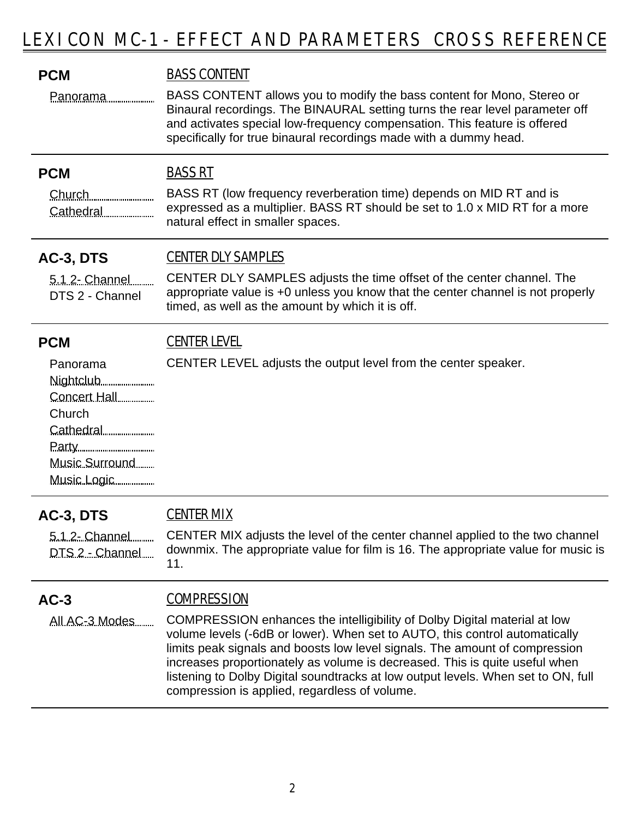| <b>PCM</b>                                                          | <b>BASS CONTENT</b>                                                                                                                                                                                                                                                                                                                                                                                                                                          |
|---------------------------------------------------------------------|--------------------------------------------------------------------------------------------------------------------------------------------------------------------------------------------------------------------------------------------------------------------------------------------------------------------------------------------------------------------------------------------------------------------------------------------------------------|
| <u>Panorama</u>                                                     | BASS CONTENT allows you to modify the bass content for Mono, Stereo or<br>Binaural recordings. The BINAURAL setting turns the rear level parameter off<br>and activates special low-frequency compensation. This feature is offered<br>specifically for true binaural recordings made with a dummy head.                                                                                                                                                     |
| <b>PCM</b>                                                          | <b>BASS RT</b>                                                                                                                                                                                                                                                                                                                                                                                                                                               |
| Church<br>Cathedral                                                 | BASS RT (low frequency reverberation time) depends on MID RT and is<br>expressed as a multiplier. BASS RT should be set to 1.0 x MID RT for a more<br>natural effect in smaller spaces.                                                                                                                                                                                                                                                                      |
| AC-3, DTS                                                           | <b>CENTER DLY SAMPLES</b>                                                                                                                                                                                                                                                                                                                                                                                                                                    |
| 5.1.2- Channel<br>DTS 2 - Channel                                   | CENTER DLY SAMPLES adjusts the time offset of the center channel. The<br>appropriate value is +0 unless you know that the center channel is not properly<br>timed, as well as the amount by which it is off.                                                                                                                                                                                                                                                 |
| <b>PCM</b>                                                          | <b>CENTER LEVEL</b>                                                                                                                                                                                                                                                                                                                                                                                                                                          |
| Panorama<br>Concert Hall<br>Church<br>Music Surround<br>Music Logic | CENTER LEVEL adjusts the output level from the center speaker.                                                                                                                                                                                                                                                                                                                                                                                               |
| AC-3, DTS                                                           | <u>CENTER MIX</u>                                                                                                                                                                                                                                                                                                                                                                                                                                            |
| 5.1.2- Channel<br>DTS 2 - Channel                                   | CENTER MIX adjusts the level of the center channel applied to the two channel<br>downmix. The appropriate value for film is 16. The appropriate value for music is<br>11.                                                                                                                                                                                                                                                                                    |
| $AC-3$                                                              | <b>COMPRESSION</b>                                                                                                                                                                                                                                                                                                                                                                                                                                           |
| All AC-3 Modes                                                      | COMPRESSION enhances the intelligibility of Dolby Digital material at low<br>volume levels (-6dB or lower). When set to AUTO, this control automatically<br>limits peak signals and boosts low level signals. The amount of compression<br>increases proportionately as volume is decreased. This is quite useful when<br>listening to Dolby Digital soundtracks at low output levels. When set to ON, full<br>compression is applied, regardless of volume. |
|                                                                     |                                                                                                                                                                                                                                                                                                                                                                                                                                                              |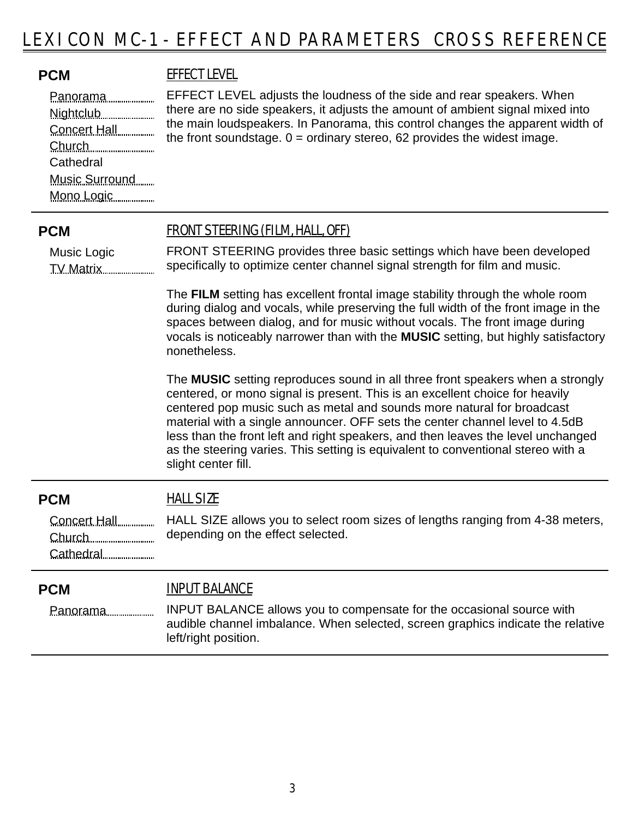## **PCM** EFFECT LEVEL

Panorama Nightclub Concert Hall Church **Cathedral** Music Surround Mono Logic

EFFECT LEVEL adjusts the loudness of the side and rear speakers. When there are no side speakers, it adjusts the amount of ambient signal mixed into the main loudspeakers. In Panorama, this control changes the apparent width of the front soundstage.  $0 =$  ordinary stereo, 62 provides the widest image.

Music Logic TV Matrix

### **PCM** FRONT STEERING (FILM, HALL, OFF)

FRONT STEERING provides three basic settings which have been developed specifically to optimize center channel signal strength for film and music.

The **FILM** setting has excellent frontal image stability through the whole room during dialog and vocals, while preserving the full width of the front image in the spaces between dialog, and for music without vocals. The front image during vocals is noticeably narrower than with the **MUSIC** setting, but highly satisfactory nonetheless.

The **MUSIC** setting reproduces sound in all three front speakers when a strongly centered, or mono signal is present. This is an excellent choice for heavily centered pop music such as metal and sounds more natural for broadcast material with a single announcer. OFF sets the center channel level to 4.5dB less than the front left and right speakers, and then leaves the level unchanged as the steering varies. This setting is equivalent to conventional stereo with a slight center fill.

### **PCM** HALL SIZE

HALL SIZE allows you to select room sizes of lengths ranging from 4-38 meters, depending on the effect selected. Concert Hall Church Cathedral

### **PCM** INPUT BALANCE

Panorama

INPUT BALANCE allows you to compensate for the occasional source with audible channel imbalance. When selected, screen graphics indicate the relative left/right position.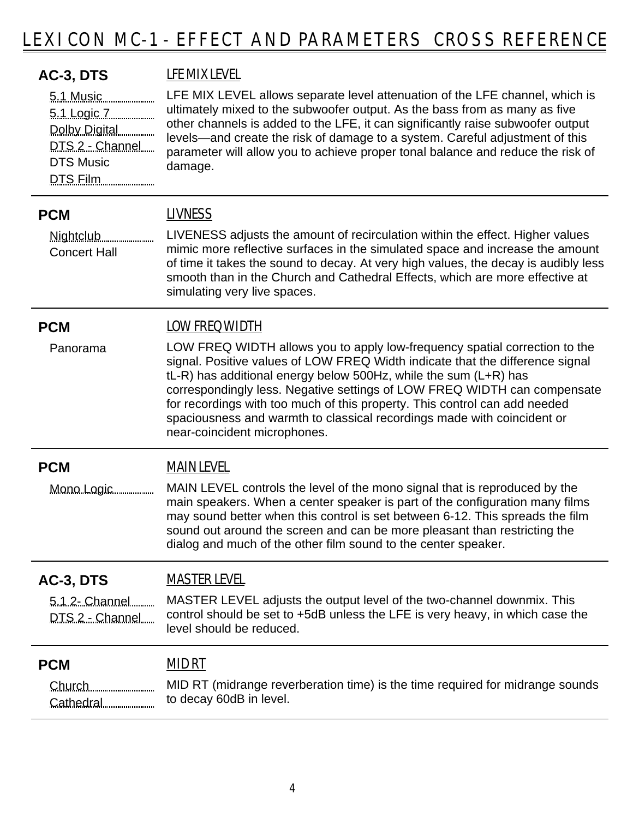| AC-3, DTS<br>5.1 Music<br>5.1 Logic 7<br>Dolby Digital<br>DTS 2 - Channel<br><b>DTS Music</b><br>DTS Film | LFE MIX LEVEL<br>LFE MIX LEVEL allows separate level attenuation of the LFE channel, which is<br>ultimately mixed to the subwoofer output. As the bass from as many as five<br>other channels is added to the LFE, it can significantly raise subwoofer output<br>levels—and create the risk of damage to a system. Careful adjustment of this<br>parameter will allow you to achieve proper tonal balance and reduce the risk of<br>damage.                                                                                  |
|-----------------------------------------------------------------------------------------------------------|-------------------------------------------------------------------------------------------------------------------------------------------------------------------------------------------------------------------------------------------------------------------------------------------------------------------------------------------------------------------------------------------------------------------------------------------------------------------------------------------------------------------------------|
| <b>PCM</b><br>Nightclub<br><b>Concert Hall</b>                                                            | <b>LIVNESS</b><br>LIVENESS adjusts the amount of recirculation within the effect. Higher values<br>mimic more reflective surfaces in the simulated space and increase the amount<br>of time it takes the sound to decay. At very high values, the decay is audibly less<br>smooth than in the Church and Cathedral Effects, which are more effective at<br>simulating very live spaces.                                                                                                                                       |
| <b>PCM</b><br>Panorama                                                                                    | <b>LOW FREQ WIDTH</b><br>LOW FREQ WIDTH allows you to apply low-frequency spatial correction to the<br>signal. Positive values of LOW FREQ Width indicate that the difference signal<br>tL-R) has additional energy below 500Hz, while the sum (L+R) has<br>correspondingly less. Negative settings of LOW FREQ WIDTH can compensate<br>for recordings with too much of this property. This control can add needed<br>spaciousness and warmth to classical recordings made with coincident or<br>near-coincident microphones. |
| <b>PCM</b><br>Mono Logic                                                                                  | <b>MAIN LEVEL</b><br>MAIN LEVEL controls the level of the mono signal that is reproduced by the<br>main speakers. When a center speaker is part of the configuration many films<br>may sound better when this control is set between 6-12. This spreads the film<br>sound out around the screen and can be more pleasant than restricting the<br>dialog and much of the other film sound to the center speaker.                                                                                                               |
| AC-3, DTS<br>5.1.2- Channel<br>DTS 2 - Channel                                                            | <b>MASTER LEVEL</b><br>MASTER LEVEL adjusts the output level of the two-channel downmix. This<br>control should be set to +5dB unless the LFE is very heavy, in which case the<br>level should be reduced.                                                                                                                                                                                                                                                                                                                    |
| <b>PCM</b><br>Church<br>Cathedral                                                                         | <u>MID RT</u><br>MID RT (midrange reverberation time) is the time required for midrange sounds<br>to decay 60dB in level.                                                                                                                                                                                                                                                                                                                                                                                                     |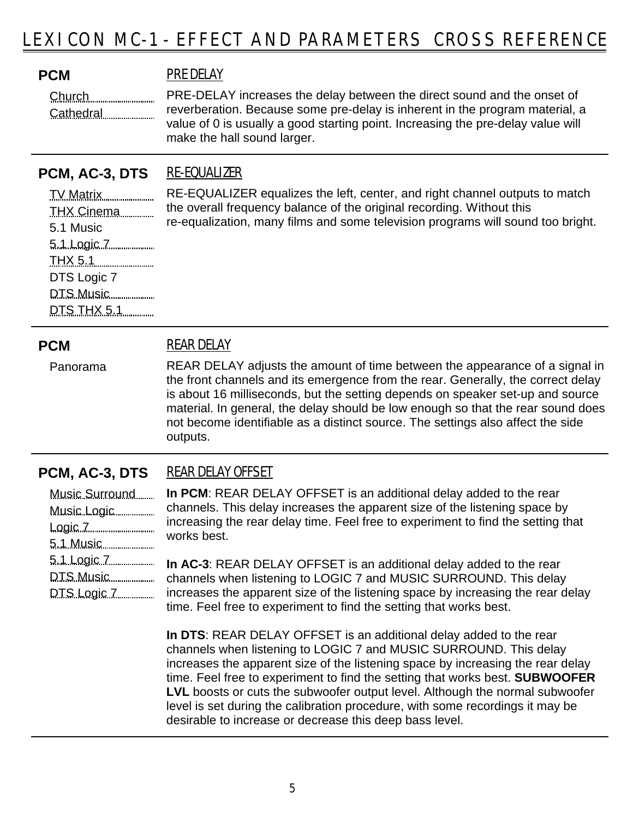**PCM** PRE DELAY

Church Cathedral

PRE-DELAY increases the delay between the direct sound and the onset of reverberation. Because some pre-delay is inherent in the program material, a value of 0 is usually a good starting point. Increasing the pre-delay value will make the hall sound larger.

## **PCM, AC-3, DTS** RE-EQUALIZER

TV Matrix THX Cinema 5.1 Music 5.1 Logic 7 THX 5.1 DTS Logic 7 DTS Music DTS THX 5.1

RE-EQUALIZER equalizes the left, center, and right channel outputs to match the overall frequency balance of the original recording. Without this re-equalization, many films and some television programs will sound too bright.

Panorama

# **PCM** REAR DELAY

REAR DELAY adjusts the amount of time between the appearance of a signal in the front channels and its emergence from the rear. Generally, the correct delay is about 16 milliseconds, but the setting depends on speaker set-up and source material. In general, the delay should be low enough so that the rear sound does not become identifiable as a distinct source. The settings also affect the side outputs.

# **PCM, AC-3, DTS** REAR DELAY OFFSET

| Music Surround |
|----------------|
| Music Logic    |
| Logic 7        |
|                |
| 5.1 Logic 7    |
|                |
| DTS Logic 7    |
|                |

**In PCM**: REAR DELAY OFFSET is an additional delay added to the rear channels. This delay increases the apparent size of the listening space by increasing the rear delay time. Feel free to experiment to find the setting that works best.

**In AC-3**: REAR DELAY OFFSET is an additional delay added to the rear channels when listening to LOGIC 7 and MUSIC SURROUND. This delay increases the apparent size of the listening space by increasing the rear delay time. Feel free to experiment to find the setting that works best.

**In DTS**: REAR DELAY OFFSET is an additional delay added to the rear channels when listening to LOGIC 7 and MUSIC SURROUND. This delay increases the apparent size of the listening space by increasing the rear delay time. Feel free to experiment to find the setting that works best. **SUBWOOFER LVL** boosts or cuts the subwoofer output level. Although the normal subwoofer level is set during the calibration procedure, with some recordings it may be desirable to increase or decrease this deep bass level.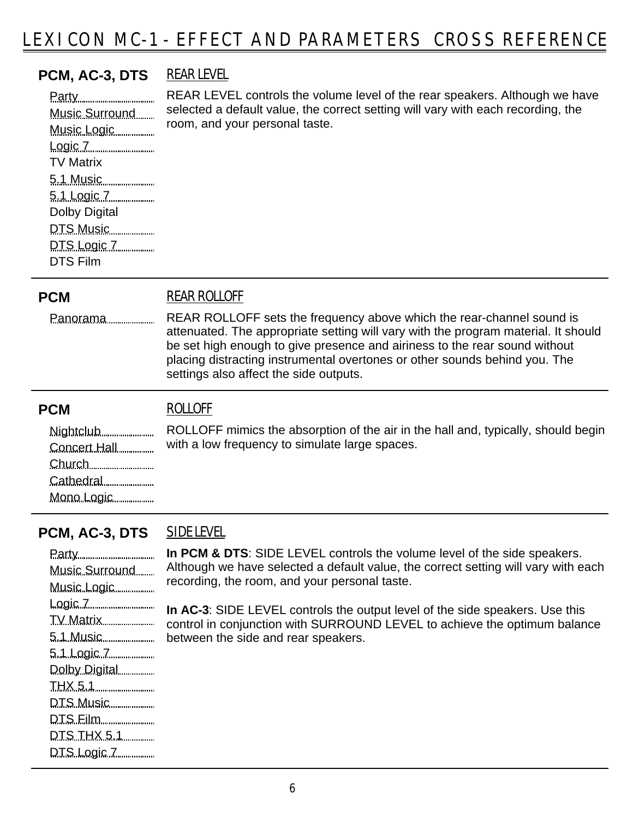# **PCM, AC-3, DTS** REAR LEVEL

selected a default value, the correct setting will vary with each recording, the room, and your personal taste. Party Music Surround Music Logic Logic 7 TV Matrix 5.1 Music 5.1 Logic 7 Dolby Digital DTS Music DTS Logic 7 DTS Film

REAR LEVEL controls the volume level of the rear speakers. Although we have

### **PCM** REAR ROLLOFF

Panorama

REAR ROLLOFF sets the frequency above which the rear-channel sound is attenuated. The appropriate setting will vary with the program material. It should be set high enough to give presence and airiness to the rear sound without placing distracting instrumental overtones or other sounds behind you. The settings also affect the side outputs.

### **PCM** ROLLOFF

ROLLOFF mimics the absorption of the air in the hall and, typically, should begin with a low frequency to simulate large spaces. Nightclub Concert Hall Church Cathedral

# **PCM, AC-3, DTS** SIDE LEVEL

Mono Logic

Party Music Surround Music Logic Logic 7 TV Matrix 5.1 Music 5.1 Logic 7 Dolby Digital THX 5.1 DTS Music DTS Film DTS THX 5.1 DTS Logic 7

**In PCM & DTS**: SIDE LEVEL controls the volume level of the side speakers. Although we have selected a default value, the correct setting will vary with each recording, the room, and your personal taste.

**In AC-3**: SIDE LEVEL controls the output level of the side speakers. Use this control in conjunction with SURROUND LEVEL to achieve the optimum balance between the side and rear speakers.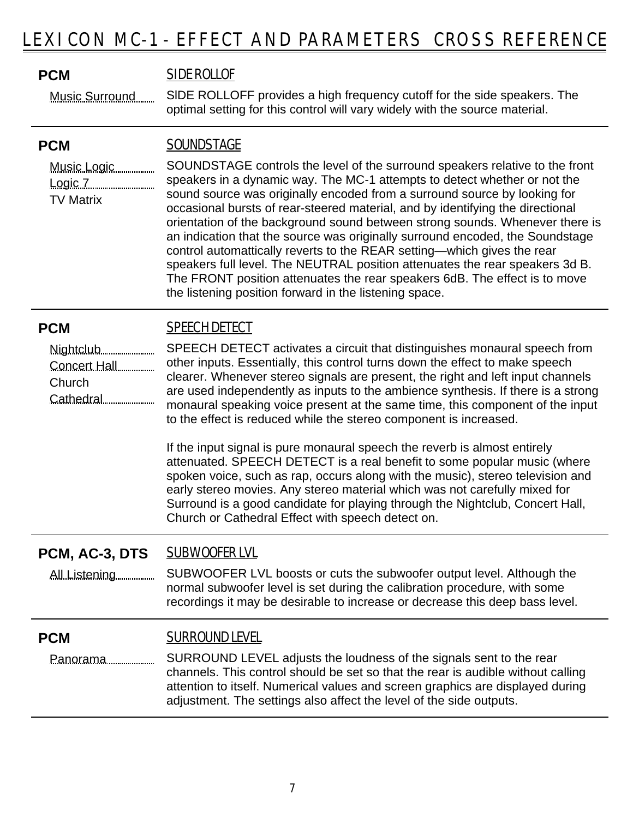### **PCM** SIDE ROLLOF

SlDE ROLLOFF provides a high frequency cutoff for the side speakers. The optimal setting for this control will vary widely with the source material. Music Surround

### **PCM** SOUNDSTAGE

Music Logic Logic 7 TV Matrix

SOUNDSTAGE controls the level of the surround speakers relative to the front speakers in a dynamic way. The MC-1 attempts to detect whether or not the sound source was originally encoded from a surround source by looking for occasional bursts of rear-steered material, and by identifying the directional orientation of the background sound between strong sounds. Whenever there is an indication that the source was originally surround encoded, the Soundstage control automattically reverts to the REAR setting—which gives the rear speakers full level. The NEUTRAL position attenuates the rear speakers 3d B. The FRONT position attenuates the rear speakers 6dB. The effect is to move the listening position forward in the listening space.

# **PCM** SPEECH DETECT

Nightclub Concert Hall Church Cathedral

SPEECH DETECT activates a circuit that distinguishes monaural speech from other inputs. Essentially, this control turns down the effect to make speech clearer. Whenever stereo signals are present, the right and left input channels are used independently as inputs to the ambience synthesis. If there is a strong monaural speaking voice present at the same time, this component of the input to the effect is reduced while the stereo component is increased.

If the input signal is pure monaural speech the reverb is almost entirely attenuated. SPEECH DETECT is a real benefit to some popular music (where spoken voice, such as rap, occurs along with the music), stereo television and early stereo movies. Any stereo material which was not carefully mixed for Surround is a good candidate for playing through the Nightclub, Concert Hall, Church or Cathedral Effect with speech detect on.

# **PCM, AC-3, DTS** SUBWOOFER LVL

SUBWOOFER LVL boosts or cuts the subwoofer output level. Although the normal subwoofer level is set during the calibration procedure, with some recordings it may be desirable to increase or decrease this deep bass level. All Listening

# **PCM** SURROUND LEVEL

SURROUND LEVEL adjusts the loudness of the signals sent to the rear channels. This control should be set so that the rear is audible without calling attention to itself. Numerical values and screen graphics are displayed during adjustment. The settings also affect the level of the side outputs. Panorama